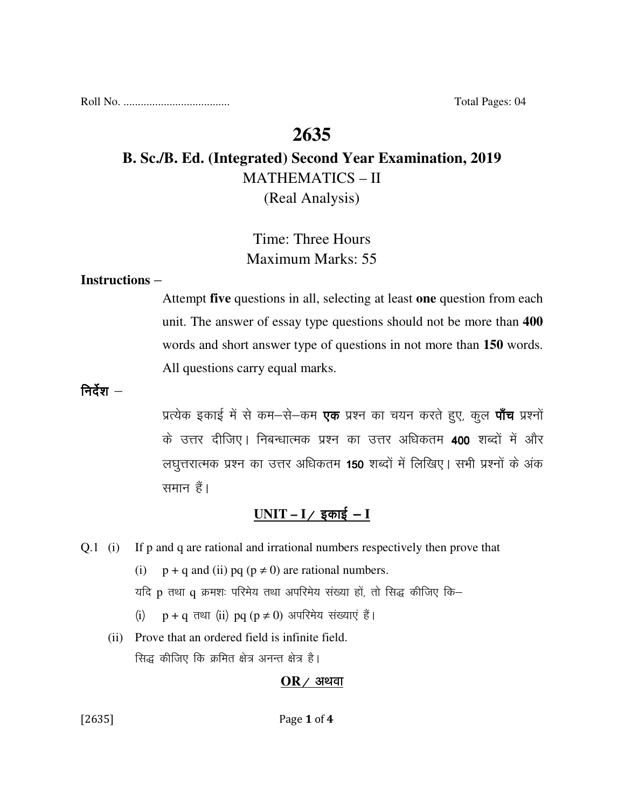Roll No. ..................................... Total Pages: 04

# **2635**

# **B. Sc./B. Ed. (Integrated) Second Year Examination, 2019**  MATHEMATICS – II

(Real Analysis)

# Time: Three Hours Maximum Marks: 55

### **Instructions** –

Attempt **five** questions in all, selecting at least **one** question from each unit. The answer of essay type questions should not be more than **400** words and short answer type of questions in not more than **150** words. All questions carry equal marks.

निर्देश $-$ 

प्रत्येक इकाई में से कम–से–कम **एक** प्रश्न का चयन करते हुए, कूल **पाँच** प्रश्नों के उत्तर दीजिए। निबन्धात्मक प्रश्न का उत्तर अधिकतम 400 शब्दों में और लघुत्तरात्मक प्रश्न का उत्तर अधिकतम 150 शब्दों में लिखिए। सभी प्रश्नों के अंक समान हैं।

# <u>UNIT – I/ इकाई – I</u>

Q.1 (i) If p and q are rational and irrational numbers respectively then prove that

(i)  $p + q$  and (ii) pq  $(p \neq 0)$  are rational numbers.

यदि p तथा q क्रमशः परिमेय तथा अपरिमेय संख्या हों, तो सिद्ध कीजिए कि–

- (i)  $p + q$  तथा (ii) pq ( $p \neq 0$ ) अपरिमेय संख्याएं हैं।
- (ii) Prove that an ordered field is infinite field. सिद्ध कीजिए कि क्रमित क्षेत्र अनन्त क्षेत्र है।

### $OR$  / अथवा

[2635] **Page 1 of 4**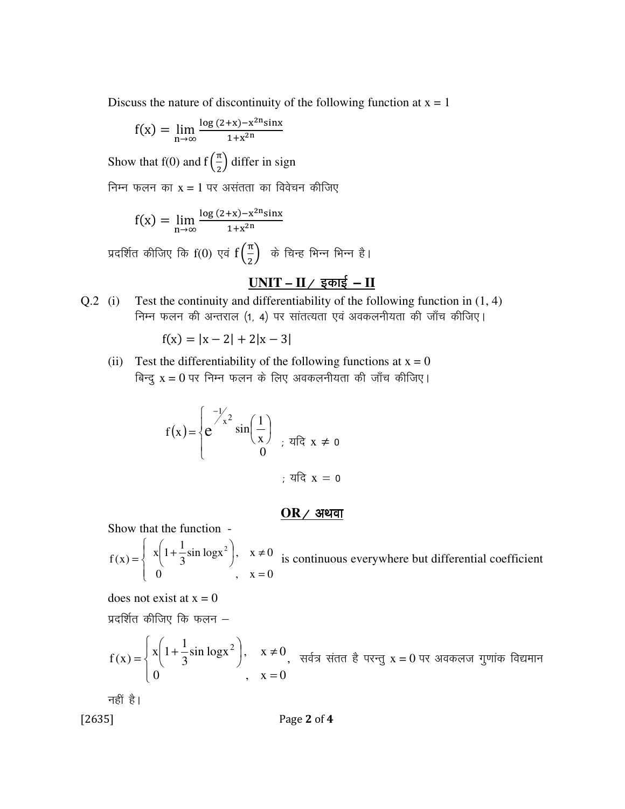Discuss the nature of discontinuity of the following function at  $x = 1$ 

$$
f(x) = \lim_{n \to \infty} \frac{\log(2+x) - x^{2n} \sin x}{1 + x^{2n}}
$$

Show that f(0) and  $f(\frac{\pi}{2})$  $\frac{\pi}{2}$ ) differ in sign

निम्न फलन का  $x = 1$  पर असंतता का विवेचन कीजिए

$$
f(x) = \lim_{n \to \infty} \frac{\log(2+x) - x^{2n} \sin x}{1 + x^{2n}}
$$

प्रदर्शित कीजिए कि  $\mathrm{f}(0)$  एवं  $\mathrm{f}\left(\frac{\pi}{2}\right)$  $\frac{\pi}{2}$ ) के चिन्ह भिन्न भिन्न है।

## <u>UNIT – II / इकाई – II</u>

Q.2 (i) Test the continuity and differentiability of the following function in (1, 4) निम्न फलन की अन्तराल (1, 4) पर सांतत्यता एवं अवकलनीयता की जाँच कीजिए।

$$
f(x) = |x - 2| + 2|x - 3|
$$

(ii) Test the differentiability of the following functions at  $x = 0$ बिन्दु  $x = 0$  पर निम्न फलन के लिए अवकलनीयता की जाँच कीजिए।

$$
f(x) = \begin{cases} e^{-\frac{1}{x^2}} \sin\left(\frac{1}{x}\right) \\ 0 \end{cases}
$$

#### $OR$  / अथवा

Show that the function -

$$
f(x) = \begin{cases} x \left(1 + \frac{1}{3}\sin \log x^2\right), & x \neq 0 \\ 0, & x = 0 \end{cases}
$$
 is continuous everywhere but differential coefficient

does not exist at  $x = 0$ 

प्रदर्शित कीजिए कि फलन $-$ 

$$
f(x) = \begin{cases} x \left(1 + \frac{1}{3}\sin \log x^2\right), & x \neq 0, \\ 0 & x = 0 \end{cases}
$$

नहीं है।

[2635] **Page 2 of 4**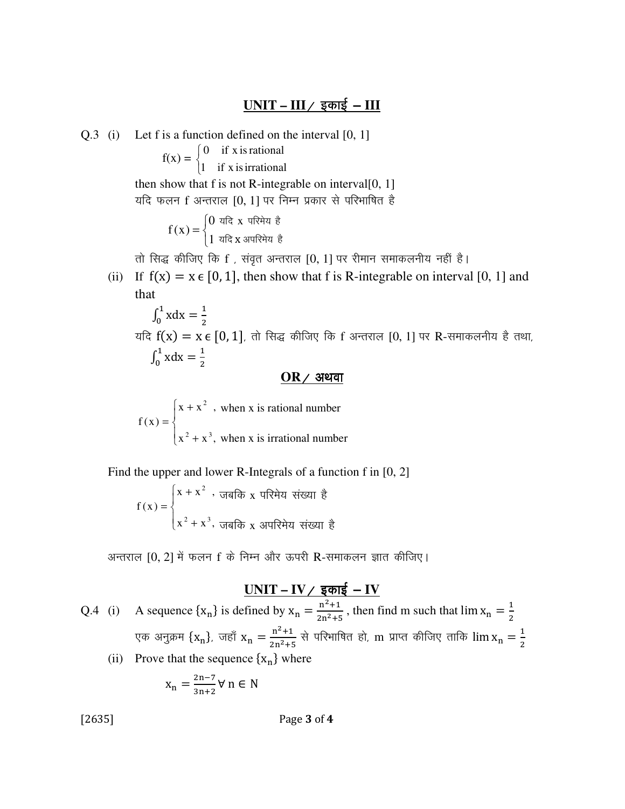Q.3 (i) Let f is a function defined on the interval [0, 1]

 $f(x) =$ ₹  $\left\lceil \right\rceil$ 0 if x isrational

 $\overline{\mathcal{L}}$ 1 if x isirrational

then show that f is not R-integrable on interval $[0, 1]$ यदि फलन f अन्तराल [0, 1] पर निम्न प्रकार से परिभाषित है

$$
f(x) = \begin{cases} 0 & \text{if } x \text{ if } x \text{ if } x \text{ if } x \text{ if } x \text{ if } x \text{ if } x \text{ if } x \text{ if } x \text{ if } x \text{ if } x \text{ if } x \text{ if } x \text{ if } x \text{ if } x \text{ if } x \text{ if } x \text{ if } x \text{ if } x \text{ if } x \text{ if } x \text{ if } x \text{ if } x \text{ if } x \text{ if } x \text{ if } x \text{ if } x \text{ if } x \text{ if } x \text{ if } x \text{ if } x \text{ if } x \text{ if } x \text{ if } x \text{ if } x \text{ if } x \text{ if } x \text{ if } x \text{ if } x \text{ if } x \text{ if } x \text{ if } x \text{ if } x \text{ if } x \text{ if } x \text{ if } x \text{ if } x \text{ if } x \text{ if } x \text{ if } x \text{ if } x \text{ if } x \text{ if } x \text{ if } x \text{ if } x \text{ if } x \text{ if } x \text{ if } x \text{ if } x \text{ if } x \text{ if } x \text{ if } x \text{ if } x \text{ if } x \text{ if } x \text{ if } x \text{ if } x \text{ if } x \text{ if } x \text{ if } x \text{ if } x \text{ if } x \text{ if } x \text{ if } x \text{ if } x \text{ if } x \text{ if } x \text{ if } x \text{ if } x \text{ if } x \text{ if } x \text{ if } x \text{ if } x \text{ if } x \text{ if } x \text{ if } x \text{ if } x \text{ if } x \text{ if } x \text{ if } x \text{ if } x \text{ if } x \text{ if } x \text{ if } x \text{ if } x \text{ if } x \text{ if } x \text{ if } x \text{ if } x \text{ if } x \text{ if } x \text{ if } x \text{ if } x \text{ if } x \text{ if } x \text{ if } x \text{ if } x \text{ if } x \text{ if } x \text{ if } x \text{ if } x \text{ if } x \text{ if } x \text{ if } x \text{ if } x \text{ if } x \text{ if } x \text{ if } x \text{ if } x \text{ if } x \text{ if } x \text{ if } x \text{ if } x \text{ if } x \text
$$

तो सिद्ध कीजिए कि f, संवृत अन्तराल [0, 1] पर रीमान समाकलनीय नहीं है।

(ii) If  $f(x) = x \in [0, 1]$ , then show that f is R-integrable on interval [0, 1] and that

$$
\int_0^1 x dx = \frac{1}{2}
$$
  
यदि  $f(x) = x \in [0, 1]$ ,  $\overline{d}$  सिद्ध कीजिए कि f अन्तराल [0, 1] पर R-समाकलनीय है तथा,  

$$
\int_0^1 x dx = \frac{1}{2}
$$

### $OR$  / अथवा

when x is irrational number when x is rational number  $\overline{\mathcal{L}}$  $\vert$ ₹  $\left\lceil \right\rceil$ + + =  $x^2 + x^3$ ,  $x + x^2$ ,  $f(x)$  $2 + \sqrt{3}$ 2

Find the upper and lower R-Integrals of a function f in [0, 2]

$$
f(x) = \begin{cases} x + x^2, & \text{if } x \in \mathbb{R} \text{ and } x \text{ is a } x \text{ is a } x \text{ is a } x \text{ is a } x \text{ is a } x \text{ is a } x \text{ is a } x \text{ is a } x \text{ is a } x \text{ is a } x \text{ is a } x \text{ is a } x \text{ is a } x \text{ is a } x \text{ is a } x \text{ is a } x \text{ is a } x \text{ is a } x \text{ is a } x \text{ is a } x \text{ is a } x \text{ is a } x \text{ is a } x \text{ is a } x \text{ is a } x \text{ is a } x \text{ is a } x \text{ is a } x \text{ is a } x \text{ is a } x \text{ is a } x \text{ is a } x \text{ is a } x \text{ is a } x \text{ is a } x \text{ is a } x \text{ is a } x \text{ is a } x \text{ is a } x \text{ is a } x \text{ is a } x \text{ is a } x \text{ is a } x \text{ is a } x \text{ is a } x \text{ is a } x \text{ is a } x \text{ is a } x \text{ is a } x \text{ is a } x \text{ is a } x \text{ is a } x \text{ is a } x \text{ is a } x \text{ is a } x \text{ is a } x \text{ is a } x \text{ is a } x \text{ is a } x \text{ is a } x \text{ is a } x \text{ is a } x \text{ is a } x \text{ is a } x \text{ is a } x \text{ is a } x \text{ is a } x \text{ is a } x \text{ is a } x \text{ is a } x \text{ is a } x \text{ is a } x \text{ is a } x \text{ is a } x \text{ is a } x \text{ is a } x \text{ is a } x \text{ is a } x \text{ is a } x \text{ is a } x \text{ is a } x \text{ is a } x \text{ is a } x \text{ is a } x \text{ is a } x \text{ is a } x \text{ is a } x \text{ is a } x \text{ is a } x \text{ is a } x \text{ is a } x \text{ is a } x \text{ is a } x \text{ is a } x \text{ is a } x \text{ is a } x \text{ is a } x \text{ is a } x \text{ is a } x \text{ is a } x \text{ is a } x \text{ is a } x \text{ is a } x \text
$$

अन्तराल [0, 2] में फलन f के निम्न और ऊपरी R-समाकलन ज्ञात कीजिए।

### <u> UNIT – IV / इकाई – IV</u>

Q.4 (i) A sequence  $\{x_n\}$  is defined by  $x_n = \frac{n^2 + 1}{2n^2 + 1}$  $\frac{n^2+1}{2n^2+5}$ , then find m such that  $\lim x_n = \frac{1}{2}$  $\overline{\mathbf{c}}$ एक अनुक्रम  $\{x_n\}$ , जहाँ  $x_n = \frac{n^2+1}{2n^2+1}$  $\frac{n^2+1}{2n^2+5}$  से परिभाषित हो, m प्राप्त कीजिए ताकि  $\lim x_n = \frac{1}{2}$  $\overline{\mathbf{c}}$ 

(ii) Prove that the sequence  $\{x_n\}$  where

$$
x_n = \frac{2n-7}{3n+2} \forall n \in N
$$

[2635] Page 3 of 4